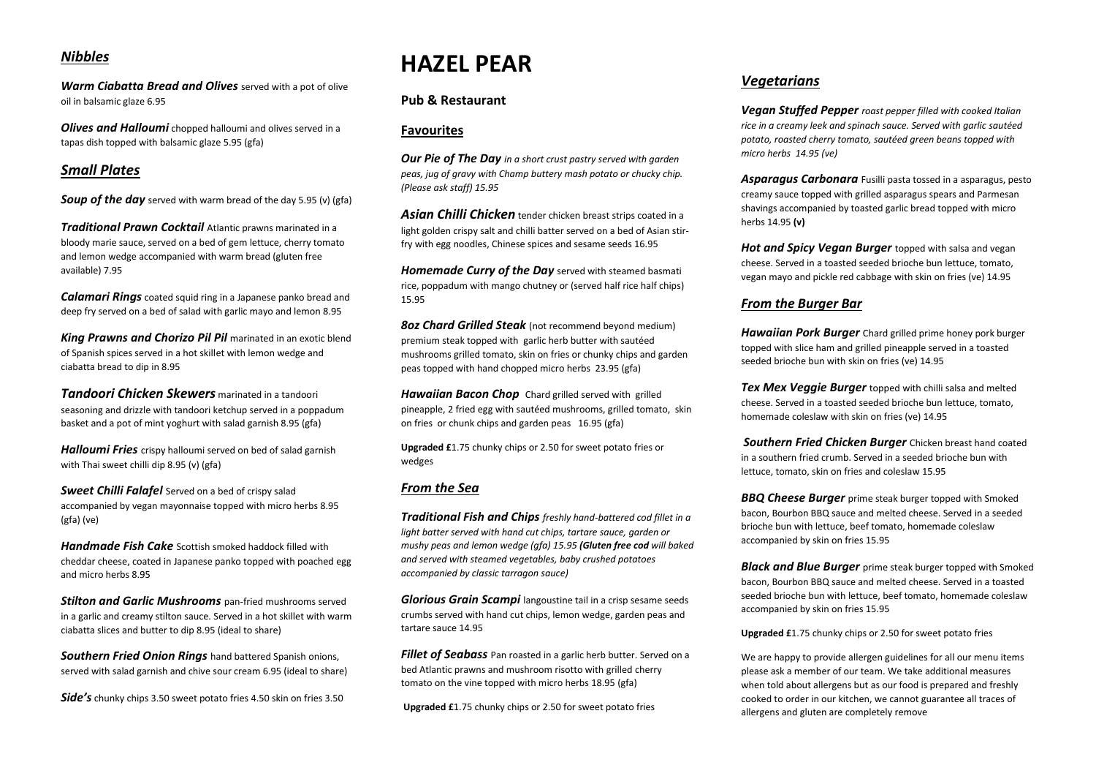#### *Nibbles*

*Warm Ciabatta Bread and Olives* served with a pot of olive oil in balsamic glaze 6.95

*Olives and Halloumi* chopped halloumi and olives served in a tapas dish topped with balsamic glaze 5.95 (gfa)

#### *Small Plates*

**Soup of the day** served with warm bread of the day 5.95 (v) (gfa)

*Traditional Prawn Cocktail* Atlantic prawns marinated in a bloody marie sauce, served on a bed of gem lettuce, cherry tomato and lemon wedge accompanied with warm bread (gluten free available) 7.95

*Calamari Rings* coated squid ring in a Japanese panko bread and deep fry served on a bed of salad with garlic mayo and lemon 8.95

*King Prawns and Chorizo Pil Pil* marinated in an exotic blend of Spanish spices served in a hot skillet with lemon wedge and ciabatta bread to dip in 8.95

*Tandoori Chicken Skewers* marinated in a tandoori seasoning and drizzle with tandoori ketchup served in a poppadum basket and a pot of mint yoghurt with salad garnish 8.95 (gfa)

*Halloumi Fries* crispy halloumi served on bed of salad garnish with Thai sweet chilli dip 8.95 (v) (gfa)

**Sweet Chilli Falafel** Served on a bed of crispy salad accompanied by vegan mayonnaise topped with micro herbs 8.95 (gfa) (ve)

*Handmade Fish Cake* Scottish smoked haddock filled with cheddar cheese, coated in Japanese panko topped with poached egg and micro herbs 8.95

*Stilton and Garlic Mushrooms* pan-fried mushrooms served in a garlic and creamy stilton sauce. Served in a hot skillet with warm ciabatta slices and butter to dip 8.95 (ideal to share)

*Southern Fried Onion Rings* hand battered Spanish onions, served with salad garnish and chive sour cream 6.95 (ideal to share)

*Side's* chunky chips 3.50 sweet potato fries 4.50 skin on fries 3.50

# **HAZEL PEAR**

### **Pub & Restaurant**

#### **Favourites**

*Our Pie of The Day in a short crust pastry served with garden peas, jug of gravy with Champ buttery mash potato or chucky chip. (Please ask staff) 15.95*

*Asian Chilli Chicken* tender chicken breast strips coated in a light golden crispy salt and chilli batter served on a bed of Asian stirfry with egg noodles, Chinese spices and sesame seeds 16.95

*Homemade Curry of the Day* served with steamed basmati rice, poppadum with mango chutney or (served half rice half chips) 15.95

*8oz Chard Grilled Steak* (not recommend beyond medium) premium steak topped with garlic herb butter with sautéed mushrooms grilled tomato, skin on fries or chunky chips and garden peas topped with hand chopped micro herbs 23.95 (gfa)

*Hawaiian Bacon Chop* Chard grilled served with grilled pineapple, 2 fried egg with sautéed mushrooms, grilled tomato, skin on fries or chunk chips and garden peas 16.95 (gfa)

**Upgraded £**1.75 chunky chips or 2.50 for sweet potato fries or wedges

#### *From the Sea*

*Traditional Fish and Chips freshly hand-battered cod fillet in a light batter served with hand cut chips, tartare sauce, garden or mushy peas and lemon wedge (gfa) 15.95 (Gluten free cod will baked and served with steamed vegetables, baby crushed potatoes accompanied by classic tarragon sauce)*

*Glorious Grain Scampi* langoustine tail in a crisp sesame seeds crumbs served with hand cut chips, lemon wedge, garden peas and tartare sauce 14.95

**Fillet of Seabass** Pan roasted in a garlic herb butter. Served on a bed Atlantic prawns and mushroom risotto with grilled cherry tomato on the vine topped with micro herbs 18.95 (gfa)

**Upgraded £**1.75 chunky chips or 2.50 for sweet potato fries

### *Vegetarians*

*Vegan Stuffed Pepper roast pepper filled with cooked Italian rice in a creamy leek and spinach sauce. Served with garlic sautéed potato, roasted cherry tomato, sautéed green beans topped with micro herbs 14.95 (ve)* 

*Asparagus Carbonara* Fusilli pasta tossed in a asparagus, pesto creamy sauce topped with grilled asparagus spears and Parmesan shavings accompanied by toasted garlic bread topped with micro herbs 14.95 **(v)**

*Hot and Spicy Vegan Burger* topped with salsa and vegan cheese. Served in a toasted seeded brioche bun lettuce, tomato, vegan mayo and pickle red cabbage with skin on fries (ve) 14.95

#### *From the Burger Bar*

*Hawaiian Pork Burger* Chard grilled prime honey pork burger topped with slice ham and grilled pineapple served in a toasted seeded brioche bun with skin on fries (ve) 14.95

*Tex Mex Veggie Burger* topped with chilli salsa and melted cheese. Served in a toasted seeded brioche bun lettuce, tomato, homemade coleslaw with skin on fries (ve) 14.95

*Southern Fried Chicken Burger* Chicken breast hand coated in a southern fried crumb. Served in a seeded brioche bun with lettuce, tomato, skin on fries and coleslaw 15.95

*BBQ Cheese Burger* prime steak burger topped with Smoked bacon, Bourbon BBQ sauce and melted cheese. Served in a seeded brioche bun with lettuce, beef tomato, homemade coleslaw accompanied by skin on fries 15.95

*Black and Blue Burger* prime steak burger topped with Smoked bacon, Bourbon BBQ sauce and melted cheese. Served in a toasted seeded brioche bun with lettuce, beef tomato, homemade coleslaw accompanied by skin on fries 15.95

**Upgraded £**1.75 chunky chips or 2.50 for sweet potato fries

We are happy to provide allergen guidelines for all our menu items please ask a member of our team. We take additional measures when told about allergens but as our food is prepared and freshly cooked to order in our kitchen, we cannot guarantee all traces of allergens and gluten are completely remove